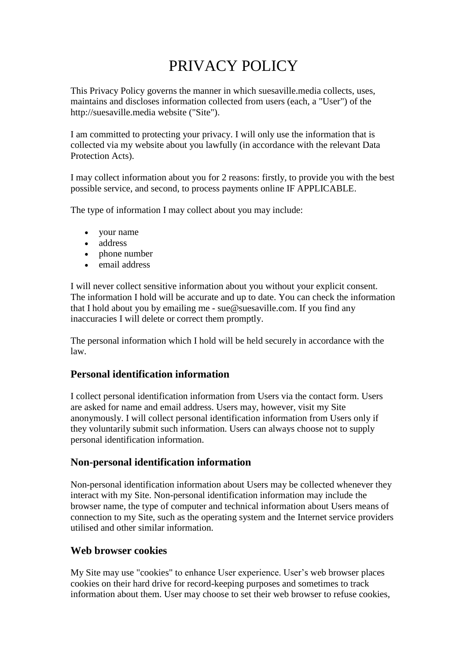# PRIVACY POLICY

This Privacy Policy governs the manner in which suesaville.media collects, uses, maintains and discloses information collected from users (each, a "User") of the http://suesaville.media website ("Site").

I am committed to protecting your privacy. I will only use the information that is collected via my website about you lawfully (in accordance with the relevant Data Protection Acts).

I may collect information about you for 2 reasons: firstly, to provide you with the best possible service, and second, to process payments online IF APPLICABLE.

The type of information I may collect about you may include:

- your name
- address
- phone number
- email address

I will never collect sensitive information about you without your explicit consent. The information I hold will be accurate and up to date. You can check the information that I hold about you by emailing me - sue@suesaville.com. If you find any inaccuracies I will delete or correct them promptly.

The personal information which I hold will be held securely in accordance with the law.

## **Personal identification information**

I collect personal identification information from Users via the contact form. Users are asked for name and email address. Users may, however, visit my Site anonymously. I will collect personal identification information from Users only if they voluntarily submit such information. Users can always choose not to supply personal identification information.

### **Non-personal identification information**

Non-personal identification information about Users may be collected whenever they interact with my Site. Non-personal identification information may include the browser name, the type of computer and technical information about Users means of connection to my Site, such as the operating system and the Internet service providers utilised and other similar information.

### **Web browser cookies**

My Site may use "cookies" to enhance User experience. User's web browser places cookies on their hard drive for record-keeping purposes and sometimes to track information about them. User may choose to set their web browser to refuse cookies,